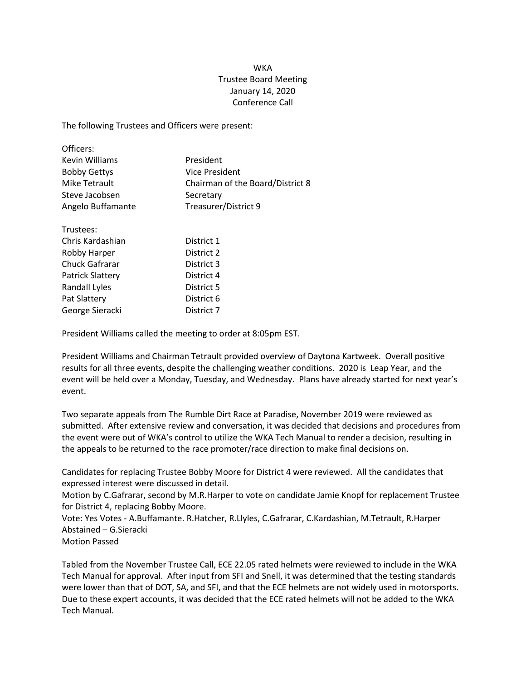## **WKA** Trustee Board Meeting January 14, 2020 Conference Call

The following Trustees and Officers were present:

| Officers:               |                                  |
|-------------------------|----------------------------------|
| Kevin Williams          | President                        |
| <b>Bobby Gettys</b>     | Vice President                   |
| Mike Tetrault           | Chairman of the Board/District 8 |
| Steve Jacobsen          | Secretary                        |
| Angelo Buffamante       | Treasurer/District 9             |
| Trustees:               |                                  |
| Chris Kardashian        | District 1                       |
| Robby Harper            | District 2                       |
| Chuck Gafrarar          | District 3                       |
| <b>Patrick Slattery</b> | District 4                       |
| Randall Lyles           | District 5                       |
| Pat Slattery            | District 6                       |

President Williams called the meeting to order at 8:05pm EST.

George Sieracki District 7

President Williams and Chairman Tetrault provided overview of Daytona Kartweek. Overall positive results for all three events, despite the challenging weather conditions. 2020 is Leap Year, and the event will be held over a Monday, Tuesday, and Wednesday. Plans have already started for next year's event.

Two separate appeals from The Rumble Dirt Race at Paradise, November 2019 were reviewed as submitted. After extensive review and conversation, it was decided that decisions and procedures from the event were out of WKA's control to utilize the WKA Tech Manual to render a decision, resulting in the appeals to be returned to the race promoter/race direction to make final decisions on.

Candidates for replacing Trustee Bobby Moore for District 4 were reviewed. All the candidates that expressed interest were discussed in detail.

Motion by C.Gafrarar, second by M.R.Harper to vote on candidate Jamie Knopf for replacement Trustee for District 4, replacing Bobby Moore.

Vote: Yes Votes - A.Buffamante. R.Hatcher, R.Llyles, C.Gafrarar, C.Kardashian, M.Tetrault, R.Harper Abstained – G.Sieracki

Motion Passed

Tabled from the November Trustee Call, ECE 22.05 rated helmets were reviewed to include in the WKA Tech Manual for approval. After input from SFI and Snell, it was determined that the testing standards were lower than that of DOT, SA, and SFI, and that the ECE helmets are not widely used in motorsports. Due to these expert accounts, it was decided that the ECE rated helmets will not be added to the WKA Tech Manual.